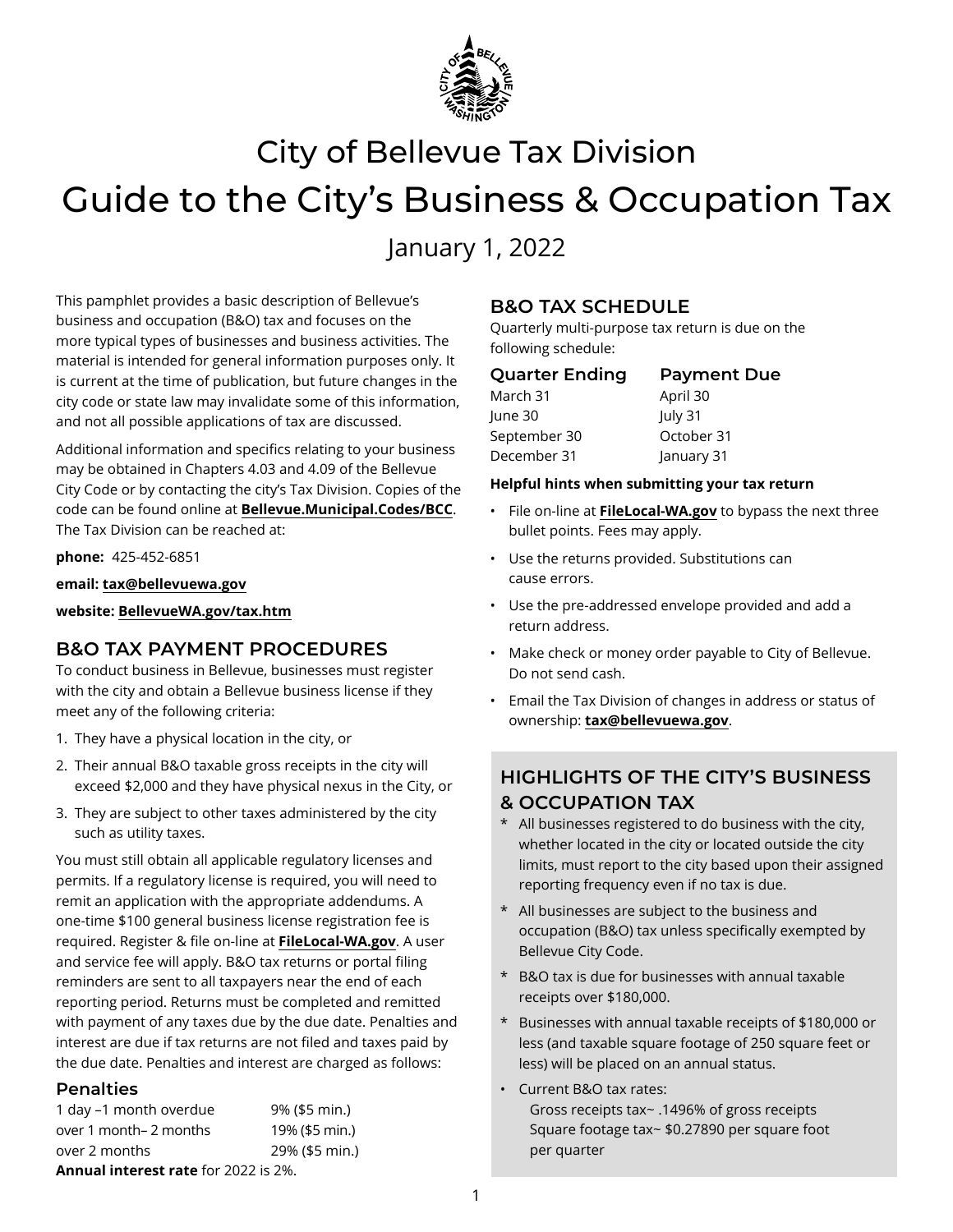

# City of Bellevue Tax Division Guide to the City's Business & Occupation Tax

January 1, 2022

This pamphlet provides a basic description of Bellevue's business and occupation (B&O) tax and focuses on the more typical types of businesses and business activities. The material is intended for general information purposes only. It is current at the time of publication, but future changes in the city code or state law may invalidate some of this information, and not all possible applications of tax are discussed.

Additional information and specifics relating to your business may be obtained in Chapters 4.03 and 4.09 of the Bellevue City Code or by contacting the city's Tax Division. Copies of the code can be found online at **[Bellevue.Municipal.Codes/BCC](https://bellevue.municipal.codes/BCC)**. The Tax Division can be reached at:

**phone:** 425-452-6851

**email: [tax@bellevuewa.gov](mailto:tax%40bellevuewa.gov?subject=)**

**website: [BellevueWA.gov/tax.htm](www.bellevuewa.gov/tax.htm)**

## **B&O TAX PAYMENT PROCEDURES**

To conduct business in Bellevue, businesses must register with the city and obtain a Bellevue business license if they meet any of the following criteria:

- 1. They have a physical location in the city, or
- 2. Their annual B&O taxable gross receipts in the city will exceed \$2,000 and they have physical nexus in the City, or
- 3. They are subject to other taxes administered by the city such as utility taxes.

You must still obtain all applicable regulatory licenses and permits. If a regulatory license is required, you will need to remit an application with the appropriate addendums. A one-time \$100 general business license registration fee is required. Register & file on-line at **[FileLocal-WA.gov](https://www.filelocal-wa.gov)**. A user and service fee will apply. B&O tax returns or portal filing reminders are sent to all taxpayers near the end of each reporting period. Returns must be completed and remitted with payment of any taxes due by the due date. Penalties and interest are due if tax returns are not filed and taxes paid by the due date. Penalties and interest are charged as follows:

## **Penalties**

1 day –1 month overdue 9% (\$5 min.) over 1 month– 2 months 19% (\$5 min.) over 2 months 29% (\$5 min.) **Annual interest rate** for 2022 is 2%.

## **B&O TAX SCHEDULE**

Quarterly multi-purpose tax return is due on the following schedule:

| <b>Quarter Ending</b> | <b>Payment Due</b> |
|-----------------------|--------------------|
| March 31              | April 30           |
| June 30               | July 31            |
| September 30          | October 31         |
| December 31           | January 31         |

#### **Helpful hints when submitting your tax return**

- File on-line at **[FileLocal-WA.gov](https://www.filelocal-wa.gov)** to bypass the next three bullet points. Fees may apply.
- Use the returns provided. Substitutions can cause errors.
- Use the pre-addressed envelope provided and add a return address.
- Make check or money order payable to City of Bellevue. Do not send cash.
- Email the Tax Division of changes in address or status of ownership: **[tax@bellevuewa.gov](mailto:tax%40bellevuewa.gov?subject=)**.

# **HIGHLIGHTS OF THE CITY'S BUSINESS & OCCUPATION TAX**

- \* All businesses registered to do business with the city, whether located in the city or located outside the city limits, must report to the city based upon their assigned reporting frequency even if no tax is due.
- \* All businesses are subject to the business and occupation (B&O) tax unless specifically exempted by Bellevue City Code.
- \* B&O tax is due for businesses with annual taxable receipts over \$180,000.
- \* Businesses with annual taxable receipts of \$180,000 or less (and taxable square footage of 250 square feet or less) will be placed on an annual status.
- Current B&O tax rates:

Gross receipts tax~ .1496% of gross receipts Square footage tax~ \$0.27890 per square foot per quarter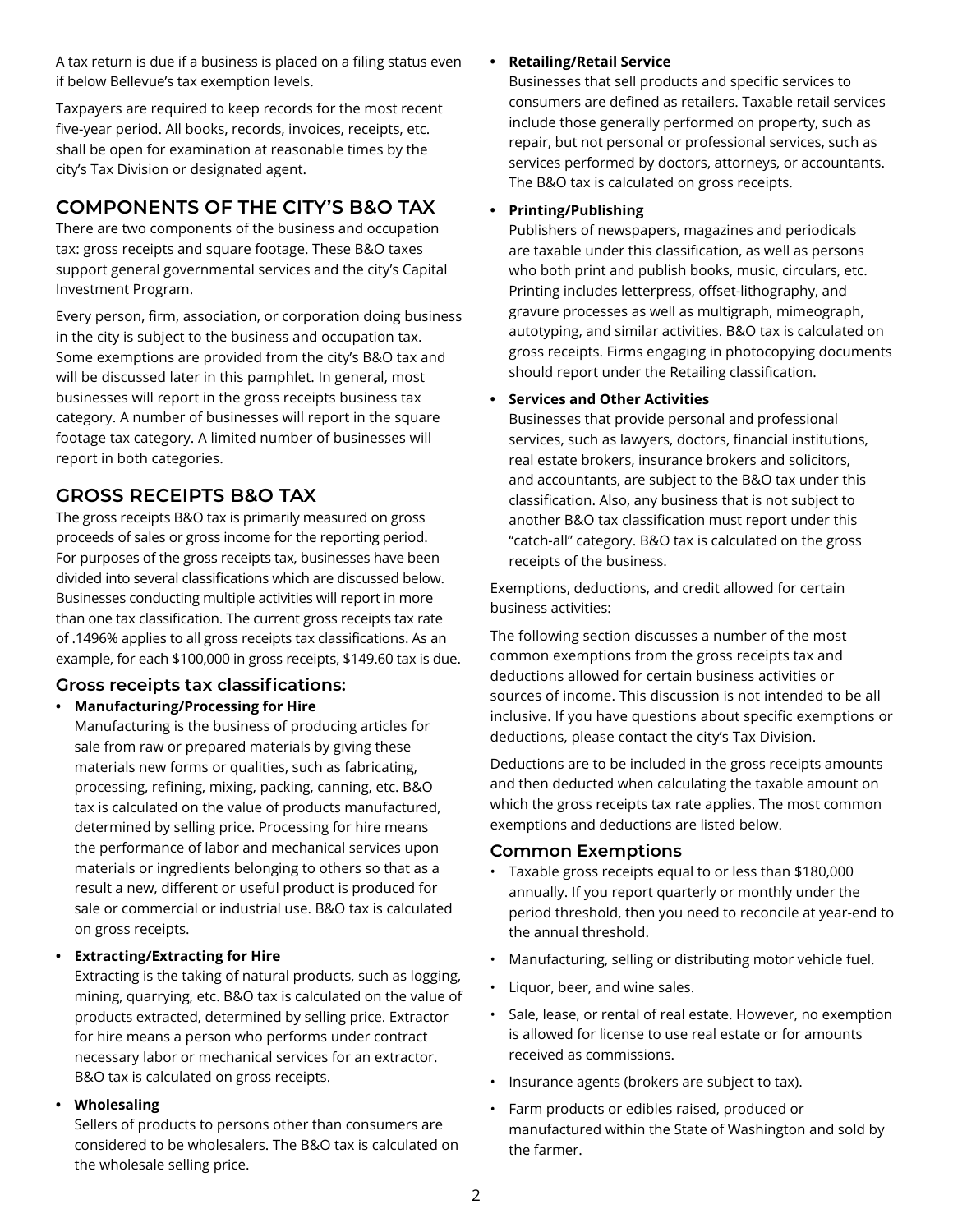A tax return is due if a business is placed on a filing status even if below Bellevue's tax exemption levels.

Taxpayers are required to keep records for the most recent five-year period. All books, records, invoices, receipts, etc. shall be open for examination at reasonable times by the city's Tax Division or designated agent.

## **COMPONENTS OF THE CITY'S B&O TAX**

There are two components of the business and occupation tax: gross receipts and square footage. These B&O taxes support general governmental services and the city's Capital Investment Program.

Every person, firm, association, or corporation doing business in the city is subject to the business and occupation tax. Some exemptions are provided from the city's B&O tax and will be discussed later in this pamphlet. In general, most businesses will report in the gross receipts business tax category. A number of businesses will report in the square footage tax category. A limited number of businesses will report in both categories.

## **GROSS RECEIPTS B&O TAX**

The gross receipts B&O tax is primarily measured on gross proceeds of sales or gross income for the reporting period. For purposes of the gross receipts tax, businesses have been divided into several classifications which are discussed below. Businesses conducting multiple activities will report in more than one tax classification. The current gross receipts tax rate of .1496% applies to all gross receipts tax classifications. As an example, for each \$100,000 in gross receipts, \$149.60 tax is due.

## **Gross receipts tax classifications:**

#### **• Manufacturing/Processing for Hire**

Manufacturing is the business of producing articles for sale from raw or prepared materials by giving these materials new forms or qualities, such as fabricating, processing, refining, mixing, packing, canning, etc. B&O tax is calculated on the value of products manufactured, determined by selling price. Processing for hire means the performance of labor and mechanical services upon materials or ingredients belonging to others so that as a result a new, different or useful product is produced for sale or commercial or industrial use. B&O tax is calculated on gross receipts.

#### **• Extracting/Extracting for Hire**

Extracting is the taking of natural products, such as logging, mining, quarrying, etc. B&O tax is calculated on the value of products extracted, determined by selling price. Extractor for hire means a person who performs under contract necessary labor or mechanical services for an extractor. B&O tax is calculated on gross receipts.

#### **• Wholesaling**

Sellers of products to persons other than consumers are considered to be wholesalers. The B&O tax is calculated on the wholesale selling price.

#### **• Retailing/Retail Service**

Businesses that sell products and specific services to consumers are defined as retailers. Taxable retail services include those generally performed on property, such as repair, but not personal or professional services, such as services performed by doctors, attorneys, or accountants. The B&O tax is calculated on gross receipts.

#### **• Printing/Publishing**

Publishers of newspapers, magazines and periodicals are taxable under this classification, as well as persons who both print and publish books, music, circulars, etc. Printing includes letterpress, offset-lithography, and gravure processes as well as multigraph, mimeograph, autotyping, and similar activities. B&O tax is calculated on gross receipts. Firms engaging in photocopying documents should report under the Retailing classification.

#### **• Services and Other Activities**

Businesses that provide personal and professional services, such as lawyers, doctors, financial institutions, real estate brokers, insurance brokers and solicitors, and accountants, are subject to the B&O tax under this classification. Also, any business that is not subject to another B&O tax classification must report under this "catch-all" category. B&O tax is calculated on the gross receipts of the business.

Exemptions, deductions, and credit allowed for certain business activities:

The following section discusses a number of the most common exemptions from the gross receipts tax and deductions allowed for certain business activities or sources of income. This discussion is not intended to be all inclusive. If you have questions about specific exemptions or deductions, please contact the city's Tax Division.

Deductions are to be included in the gross receipts amounts and then deducted when calculating the taxable amount on which the gross receipts tax rate applies. The most common exemptions and deductions are listed below.

#### **Common Exemptions**

- Taxable gross receipts equal to or less than \$180,000 annually. If you report quarterly or monthly under the period threshold, then you need to reconcile at year-end to the annual threshold.
- Manufacturing, selling or distributing motor vehicle fuel.
- Liquor, beer, and wine sales.
- Sale, lease, or rental of real estate. However, no exemption is allowed for license to use real estate or for amounts received as commissions.
- Insurance agents (brokers are subject to tax).
- Farm products or edibles raised, produced or manufactured within the State of Washington and sold by the farmer.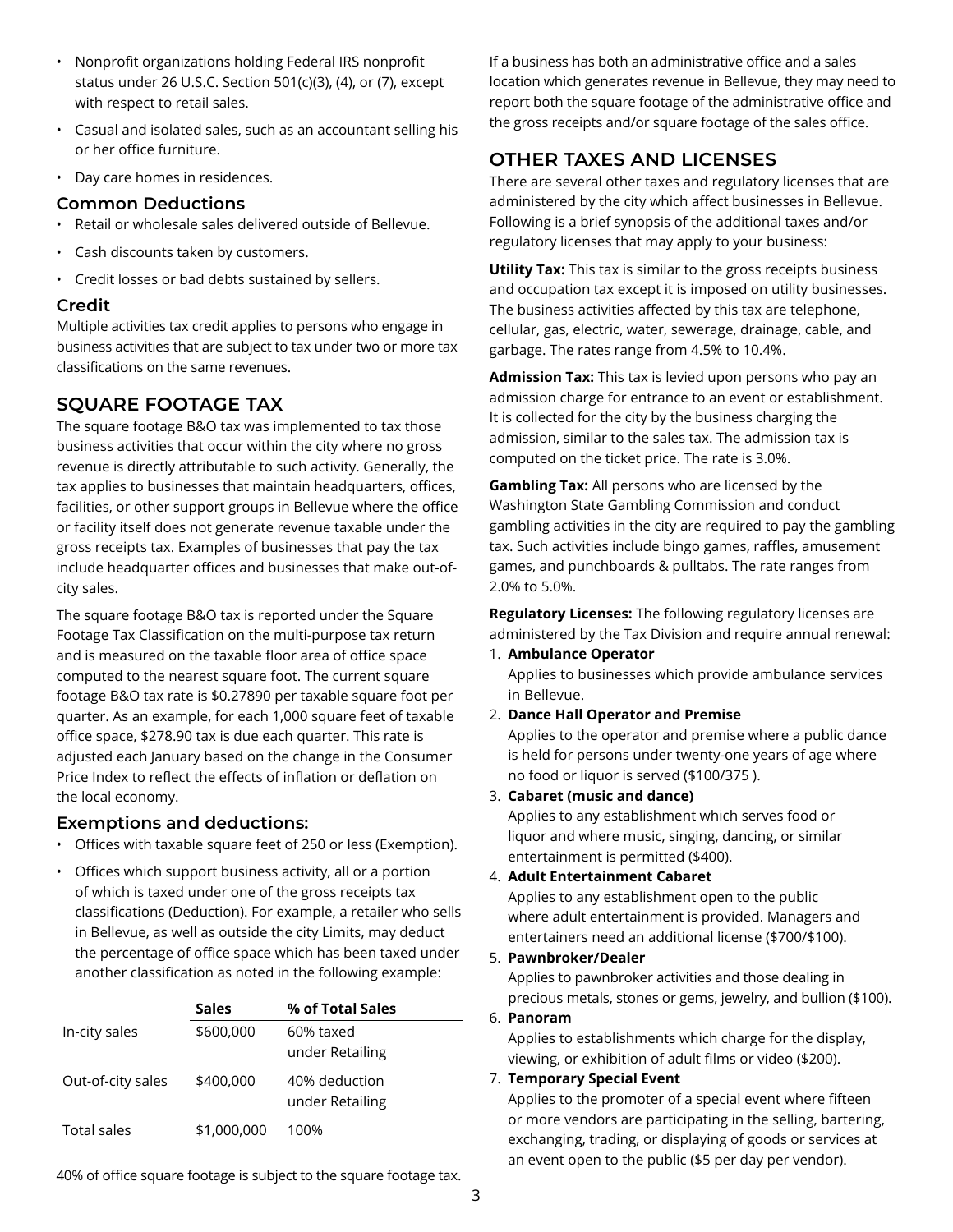- Nonprofit organizations holding Federal IRS nonprofit status under 26 U.S.C. Section 501(c)(3), (4), or (7), except with respect to retail sales.
- Casual and isolated sales, such as an accountant selling his or her office furniture.
- Day care homes in residences.

#### **Common Deductions**

- Retail or wholesale sales delivered outside of Bellevue.
- Cash discounts taken by customers.
- Credit losses or bad debts sustained by sellers.

#### **Credit**

Multiple activities tax credit applies to persons who engage in business activities that are subject to tax under two or more tax classifications on the same revenues.

## **SQUARE FOOTAGE TAX**

The square footage B&O tax was implemented to tax those business activities that occur within the city where no gross revenue is directly attributable to such activity. Generally, the tax applies to businesses that maintain headquarters, offices, facilities, or other support groups in Bellevue where the office or facility itself does not generate revenue taxable under the gross receipts tax. Examples of businesses that pay the tax include headquarter offices and businesses that make out-ofcity sales.

The square footage B&O tax is reported under the Square Footage Tax Classification on the multi-purpose tax return and is measured on the taxable floor area of office space computed to the nearest square foot. The current square footage B&O tax rate is \$0.27890 per taxable square foot per quarter. As an example, for each 1,000 square feet of taxable office space, \$278.90 tax is due each quarter. This rate is adjusted each January based on the change in the Consumer Price Index to reflect the effects of inflation or deflation on the local economy.

#### **Exemptions and deductions:**

- Offices with taxable square feet of 250 or less (Exemption).
- Offices which support business activity, all or a portion of which is taxed under one of the gross receipts tax classifications (Deduction). For example, a retailer who sells in Bellevue, as well as outside the city Limits, may deduct the percentage of office space which has been taxed under another classification as noted in the following example:

|                   | <b>Sales</b> | % of Total Sales                 |
|-------------------|--------------|----------------------------------|
| In-city sales     | \$600,000    | 60% taxed<br>under Retailing     |
| Out-of-city sales | \$400,000    | 40% deduction<br>under Retailing |
| Total sales       | \$1,000,000  | 100%                             |

40% of office square footage is subject to the square footage tax.

If a business has both an administrative office and a sales location which generates revenue in Bellevue, they may need to report both the square footage of the administrative office and the gross receipts and/or square footage of the sales office.

# **OTHER TAXES AND LICENSES**

There are several other taxes and regulatory licenses that are administered by the city which affect businesses in Bellevue. Following is a brief synopsis of the additional taxes and/or regulatory licenses that may apply to your business:

**Utility Tax:** This tax is similar to the gross receipts business and occupation tax except it is imposed on utility businesses. The business activities affected by this tax are telephone, cellular, gas, electric, water, sewerage, drainage, cable, and garbage. The rates range from 4.5% to 10.4%.

**Admission Tax:** This tax is levied upon persons who pay an admission charge for entrance to an event or establishment. It is collected for the city by the business charging the admission, similar to the sales tax. The admission tax is computed on the ticket price. The rate is 3.0%.

**Gambling Tax:** All persons who are licensed by the Washington State Gambling Commission and conduct gambling activities in the city are required to pay the gambling tax. Such activities include bingo games, raffles, amusement games, and punchboards & pulltabs. The rate ranges from 2.0% to 5.0%.

**Regulatory Licenses:** The following regulatory licenses are administered by the Tax Division and require annual renewal:

1. **Ambulance Operator**

Applies to businesses which provide ambulance services in Bellevue.

2. **Dance Hall Operator and Premise**

Applies to the operator and premise where a public dance is held for persons under twenty-one years of age where no food or liquor is served (\$100/375 ).

3. **Cabaret (music and dance)**

Applies to any establishment which serves food or liquor and where music, singing, dancing, or similar entertainment is permitted (\$400).

4. **Adult Entertainment Cabaret**

Applies to any establishment open to the public where adult entertainment is provided. Managers and entertainers need an additional license (\$700/\$100).

5. **Pawnbroker/Dealer**

Applies to pawnbroker activities and those dealing in precious metals, stones or gems, jewelry, and bullion (\$100).

6. **Panoram**

Applies to establishments which charge for the display, viewing, or exhibition of adult films or video (\$200).

#### 7. **Temporary Special Event**

Applies to the promoter of a special event where fifteen or more vendors are participating in the selling, bartering, exchanging, trading, or displaying of goods or services at an event open to the public (\$5 per day per vendor).